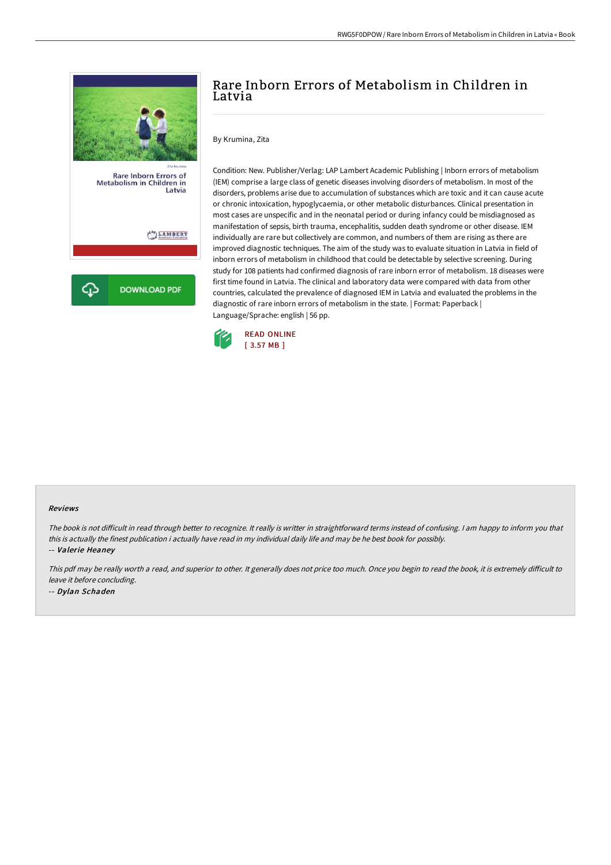

# Rare Inborn Errors of Metabolism in Children in Latvia

By Krumina, Zita

Condition: New. Publisher/Verlag: LAP Lambert Academic Publishing | Inborn errors of metabolism (IEM) comprise a large class of genetic diseases involving disorders of metabolism. In most of the disorders, problems arise due to accumulation of substances which are toxic and it can cause acute or chronic intoxication, hypoglycaemia, or other metabolic disturbances. Clinical presentation in most cases are unspecific and in the neonatal period or during infancy could be misdiagnosed as manifestation of sepsis, birth trauma, encephalitis, sudden death syndrome or other disease. IEM individually are rare but collectively are common, and numbers of them are rising as there are improved diagnostic techniques. The aim of the study was to evaluate situation in Latvia in field of inborn errors of metabolism in childhood that could be detectable by selective screening. During study for 108 patients had confirmed diagnosis of rare inborn error of metabolism. 18 diseases were first time found in Latvia. The clinical and laboratory data were compared with data from other countries, calculated the prevalence of diagnosed IEM in Latvia and evaluated the problems in the diagnostic of rare inborn errors of metabolism in the state. | Format: Paperback | Language/Sprache: english | 56 pp.



#### Reviews

The book is not difficult in read through better to recognize. It really is writter in straightforward terms instead of confusing. I am happy to inform you that this is actually the finest publication i actually have read in my individual daily life and may be he best book for possibly.

-- Valerie Heaney

This pdf may be really worth a read, and superior to other. It generally does not price too much. Once you begin to read the book, it is extremely difficult to leave it before concluding. -- Dylan Schaden